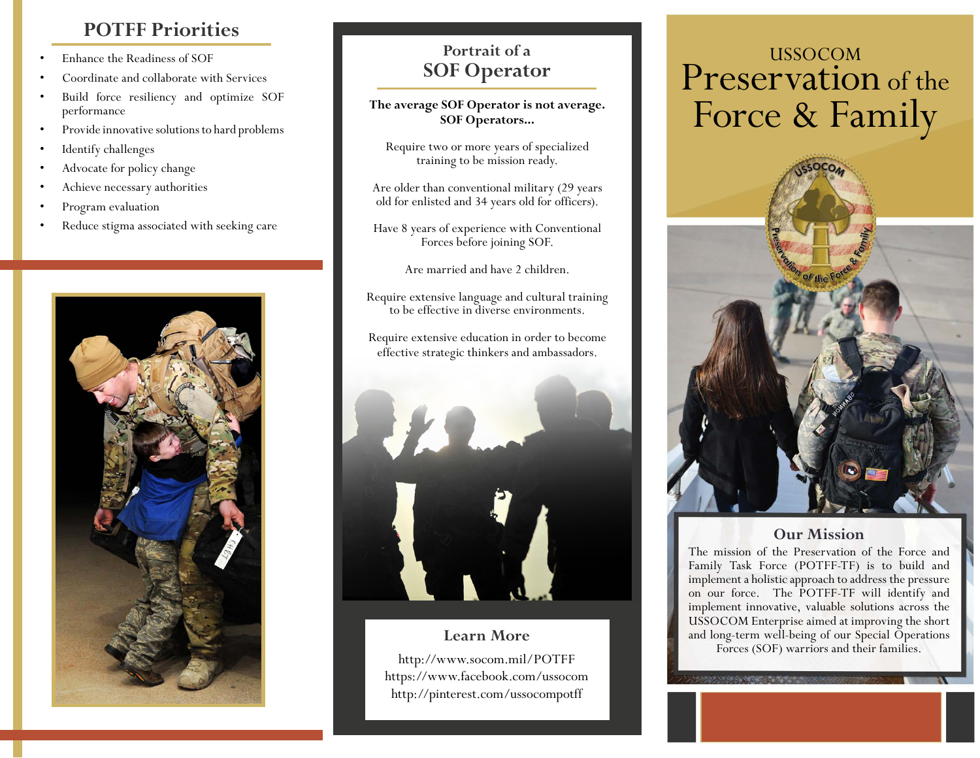# **POTFF Priorities**

- Enhance the Readiness of SOF
- Coordinate and collaborate with Services
- Build force resiliency and optimize SOF performance
- Provide innovative solutions to hard problems
- Identify challenges
- Advocate for policy change
- Achieve necessary authorities
- Program evaluation
- Reduce stigma associated with seeking care



## **Portrait of a SOF Operator**

**The average SOF Operator is not average. SOF Operators...**

Require two or more years of specialized training to be mission ready.

Are older than conventional military (29 years old for enlisted and 34 years old for officers).

Have 8 years of experience with Conventional Forces before joining SOF.

Are married and have 2 children.

Require extensive language and cultural training to be effective in diverse environments.

Require extensive education in order to become effective strategic thinkers and ambassadors.



## **Learn More**

http://www.socom.mil/POTFF https://www.facebook.com/ussocom http://pinterest.com/ussocompotff

# USSOCOM Preservation of the Force & Family



## **Our Mission**

The mission of the Preservation of the Force and Family Task Force (POTFF-TF) is to build and implement a holistic approach to address the pressure on our force. The POTFF-TF will identify and implement innovative, valuable solutions across the USSOCOM Enterprise aimed at improving the short and long-term well-being of our Special Operations Forces (SOF) warriors and their families.